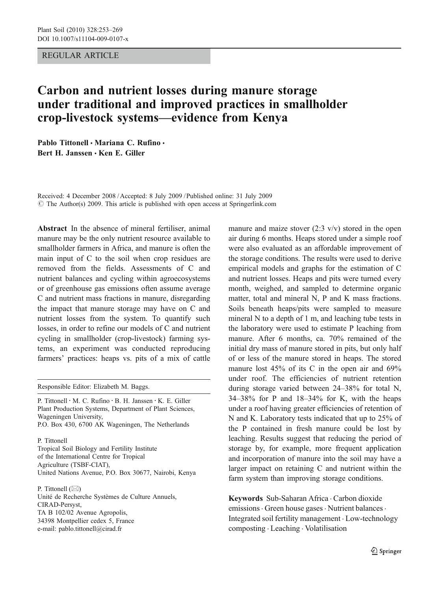# REGULAR ARTICLE

# Carbon and nutrient losses during manure storage under traditional and improved practices in smallholder crop-livestock systems—evidence from Kenya

Pablo Tittonell · Mariana C. Rufino · Bert H. Janssen · Ken E. Giller

Received: 4 December 2008 /Accepted: 8 July 2009 / Published online: 31 July 2009  $\circ$  The Author(s) 2009. This article is published with open access at Springerlink.com

Abstract In the absence of mineral fertiliser, animal manure may be the only nutrient resource available to smallholder farmers in Africa, and manure is often the main input of C to the soil when crop residues are removed from the fields. Assessments of C and nutrient balances and cycling within agroecosystems or of greenhouse gas emissions often assume average C and nutrient mass fractions in manure, disregarding the impact that manure storage may have on C and nutrient losses from the system. To quantify such losses, in order to refine our models of C and nutrient cycling in smallholder (crop-livestock) farming systems, an experiment was conducted reproducing farmers' practices: heaps vs. pits of a mix of cattle

Responsible Editor: Elizabeth M. Baggs.

P. Tittonell : M. C. Rufino : B. H. Janssen : K. E. Giller Plant Production Systems, Department of Plant Sciences, Wageningen University, P.O. Box 430, 6700 AK Wageningen, The Netherlands

P. Tittonell Tropical Soil Biology and Fertility Institute of the International Centre for Tropical Agriculture (TSBF-CIAT), United Nations Avenue, P.O. Box 30677, Nairobi, Kenya

P. Tittonell  $(\boxtimes)$ Unité de Recherche Systèmes de Culture Annuels, CIRAD-Persyst, TA B 102/02 Avenue Agropolis, 34398 Montpellier cedex 5, France e-mail: pablo.tittonell@cirad.fr

manure and maize stover  $(2:3 \text{ v/v})$  stored in the open air during 6 months. Heaps stored under a simple roof were also evaluated as an affordable improvement of the storage conditions. The results were used to derive empirical models and graphs for the estimation of C and nutrient losses. Heaps and pits were turned every month, weighed, and sampled to determine organic matter, total and mineral N, P and K mass fractions. Soils beneath heaps/pits were sampled to measure mineral N to a depth of 1 m, and leaching tube tests in the laboratory were used to estimate P leaching from manure. After 6 months, ca. 70% remained of the initial dry mass of manure stored in pits, but only half of or less of the manure stored in heaps. The stored manure lost 45% of its C in the open air and 69% under roof. The efficiencies of nutrient retention during storage varied between 24–38% for total N, 34–38% for P and 18–34% for K, with the heaps under a roof having greater efficiencies of retention of N and K. Laboratory tests indicated that up to 25% of the P contained in fresh manure could be lost by leaching. Results suggest that reducing the period of storage by, for example, more frequent application and incorporation of manure into the soil may have a larger impact on retaining C and nutrient within the farm system than improving storage conditions.

Keywords Sub-Saharan Africa . Carbon dioxide emissions · Green house gases · Nutrient balances · Integrated soil fertility management . Low-technology composting . Leaching . Volatilisation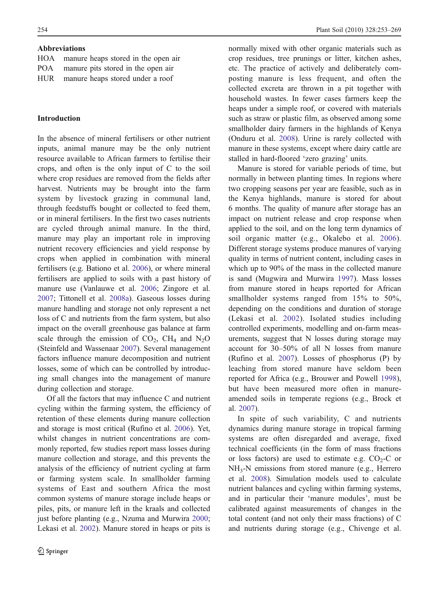# Abbreviations

| HOA manure heaps stored in the open air |
|-----------------------------------------|
| POA manure pits stored in the open air  |
| HUR manure heaps stored under a roof    |

# Introduction

In the absence of mineral fertilisers or other nutrient inputs, animal manure may be the only nutrient resource available to African farmers to fertilise their crops, and often is the only input of C to the soil where crop residues are removed from the fields after harvest. Nutrients may be brought into the farm system by livestock grazing in communal land, through feedstuffs bought or collected to feed them, or in mineral fertilisers. In the first two cases nutrients are cycled through animal manure. In the third, manure may play an important role in improving nutrient recovery efficiencies and yield response by crops when applied in combination with mineral fertilisers (e.g. Bationo et al. [2006\)](#page-15-0), or where mineral fertilisers are applied to soils with a past history of manure use (Vanlauwe et al. [2006](#page-16-0); Zingore et al. [2007;](#page-16-0) Tittonell et al. [2008a\)](#page-16-0). Gaseous losses during manure handling and storage not only represent a net loss of C and nutrients from the farm system, but also impact on the overall greenhouse gas balance at farm scale through the emission of  $CO<sub>2</sub>$ ,  $CH<sub>4</sub>$  and  $N<sub>2</sub>O$ (Steinfeld and Wassenaar [2007\)](#page-16-0). Several management factors influence manure decomposition and nutrient losses, some of which can be controlled by introducing small changes into the management of manure during collection and storage.

Of all the factors that may influence C and nutrient cycling within the farming system, the efficiency of retention of these elements during manure collection and storage is most critical (Rufino et al. [2006](#page-16-0)). Yet, whilst changes in nutrient concentrations are commonly reported, few studies report mass losses during manure collection and storage, and this prevents the analysis of the efficiency of nutrient cycling at farm or farming system scale. In smallholder farming systems of East and southern Africa the most common systems of manure storage include heaps or piles, pits, or manure left in the kraals and collected just before planting (e.g., Nzuma and Murwira [2000](#page-15-0); Lekasi et al. [2002](#page-15-0)). Manure stored in heaps or pits is

normally mixed with other organic materials such as crop residues, tree prunings or litter, kitchen ashes, etc. The practice of actively and deliberately composting manure is less frequent, and often the collected excreta are thrown in a pit together with household wastes. In fewer cases farmers keep the heaps under a simple roof, or covered with materials such as straw or plastic film, as observed among some smallholder dairy farmers in the highlands of Kenya (Onduru et al. [2008\)](#page-15-0). Urine is rarely collected with manure in these systems, except where dairy cattle are stalled in hard-floored 'zero grazing' units.

Manure is stored for variable periods of time, but normally in between planting times. In regions where two cropping seasons per year are feasible, such as in the Kenya highlands, manure is stored for about 6 months. The quality of manure after storage has an impact on nutrient release and crop response when applied to the soil, and on the long term dynamics of soil organic matter (e.g., Okalebo et al. [2006](#page-15-0)). Different storage systems produce manures of varying quality in terms of nutrient content, including cases in which up to 90% of the mass in the collected manure is sand (Mugwira and Murwira [1997\)](#page-15-0). Mass losses from manure stored in heaps reported for African smallholder systems ranged from 15% to 50%, depending on the conditions and duration of storage (Lekasi et al. [2002\)](#page-15-0). Isolated studies including controlled experiments, modelling and on-farm measurements, suggest that N losses during storage may account for 30–50% of all N losses from manure (Rufino et al. [2007](#page-16-0)). Losses of phosphorus (P) by leaching from stored manure have seldom been reported for Africa (e.g., Brouwer and Powell [1998\)](#page-15-0), but have been measured more often in manureamended soils in temperate regions (e.g., Brock et al. [2007\)](#page-15-0).

In spite of such variability, C and nutrients dynamics during manure storage in tropical farming systems are often disregarded and average, fixed technical coefficients (in the form of mass fractions or loss factors) are used to estimate e.g.  $CO<sub>2</sub>-C$  or NH3-N emissions from stored manure (e.g., Herrero et al. [2008](#page-15-0)). Simulation models used to calculate nutrient balances and cycling within farming systems, and in particular their 'manure modules', must be calibrated against measurements of changes in the total content (and not only their mass fractions) of C and nutrients during storage (e.g., Chivenge et al.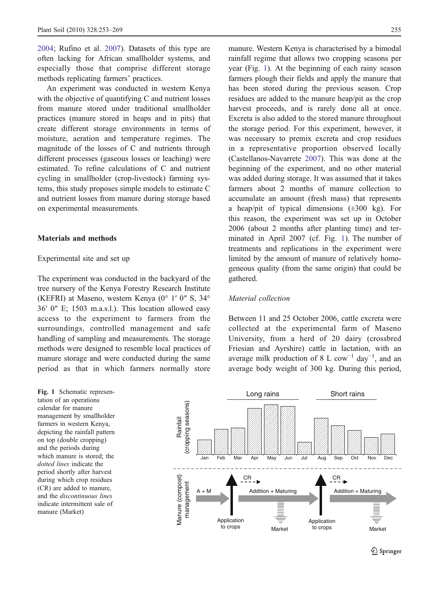[2004;](#page-15-0) Rufino et al. [2007\)](#page-16-0). Datasets of this type are often lacking for African smallholder systems, and especially those that comprise different storage methods replicating farmers' practices.

An experiment was conducted in western Kenya with the objective of quantifying C and nutrient losses from manure stored under traditional smallholder practices (manure stored in heaps and in pits) that create different storage environments in terms of moisture, aeration and temperature regimes. The magnitude of the losses of C and nutrients through different processes (gaseous losses or leaching) were estimated. To refine calculations of C and nutrient cycling in smallholder (crop-livestock) farming systems, this study proposes simple models to estimate C and nutrient losses from manure during storage based on experimental measurements.

## Materials and methods

#### Experimental site and set up

The experiment was conducted in the backyard of the tree nursery of the Kenya Forestry Research Institute (KEFRI) at Maseno, western Kenya (0° 1′ 0″ S, 34° 36′ 0″ E; 1503 m.a.s.l.). This location allowed easy access to the experiment to farmers from the surroundings, controlled management and safe handling of sampling and measurements. The storage methods were designed to resemble local practices of manure storage and were conducted during the same period as that in which farmers normally store

Fig. 1 Schematic representation of an operations calendar for manure management by smallholder farmers in western Kenya, depicting the rainfall pattern on top (double cropping) and the periods during which manure is stored; the dotted lines indicate the period shortly after harvest during which crop residues (CR) are added to manure, and the discontinuous lines indicate intermittent sale of manure (Market)

manure. Western Kenya is characterised by a bimodal rainfall regime that allows two cropping seasons per year (Fig. 1). At the beginning of each rainy season farmers plough their fields and apply the manure that has been stored during the previous season. Crop residues are added to the manure heap/pit as the crop harvest proceeds, and is rarely done all at once. Excreta is also added to the stored manure throughout the storage period. For this experiment, however, it was necessary to premix excreta and crop residues in a representative proportion observed locally (Castellanos-Navarrete [2007](#page-15-0)). This was done at the beginning of the experiment, and no other material was added during storage. It was assumed that it takes farmers about 2 months of manure collection to accumulate an amount (fresh mass) that represents a heap/pit of typical dimensions  $(\pm 300 \text{ kg})$ . For this reason, the experiment was set up in October 2006 (about 2 months after planting time) and terminated in April 2007 (cf. Fig. 1). The number of treatments and replications in the experiment were limited by the amount of manure of relatively homogeneous quality (from the same origin) that could be gathered.

## Material collection

Between 11 and 25 October 2006, cattle excreta were collected at the experimental farm of Maseno University, from a herd of 20 dairy (crossbred Friesian and Ayrshire) cattle in lactation, with an average milk production of 8 L cow<sup>-1</sup> day<sup>-1</sup>, and an average body weight of 300 kg. During this period,

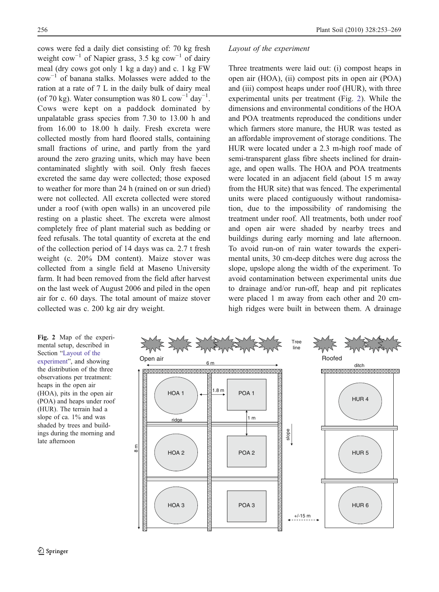<span id="page-3-0"></span>cows were fed a daily diet consisting of: 70 kg fresh weight cow<sup>-1</sup> of Napier grass, 3.5 kg cow<sup>-1</sup> of dairy meal (dry cows got only 1 kg a day) and c. 1 kg FW cow−<sup>1</sup> of banana stalks. Molasses were added to the ration at a rate of 7 L in the daily bulk of dairy meal (of 70 kg). Water consumption was 80 L  $\text{cow}^{-1}$  day<sup>-1</sup>. Cows were kept on a paddock dominated by unpalatable grass species from 7.30 to 13.00 h and from 16.00 to 18.00 h daily. Fresh excreta were collected mostly from hard floored stalls, containing small fractions of urine, and partly from the yard around the zero grazing units, which may have been contaminated slightly with soil. Only fresh faeces excreted the same day were collected; those exposed to weather for more than 24 h (rained on or sun dried) were not collected. All excreta collected were stored under a roof (with open walls) in an uncovered pile resting on a plastic sheet. The excreta were almost completely free of plant material such as bedding or feed refusals. The total quantity of excreta at the end of the collection period of 14 days was ca. 2.7 t fresh weight (c. 20% DM content). Maize stover was collected from a single field at Maseno University farm. It had been removed from the field after harvest on the last week of August 2006 and piled in the open air for c. 60 days. The total amount of maize stover collected was c. 200 kg air dry weight.

# Layout of the experiment

Three treatments were laid out: (i) compost heaps in open air (HOA), (ii) compost pits in open air (POA) and (iii) compost heaps under roof (HUR), with three experimental units per treatment (Fig. 2). While the dimensions and environmental conditions of the HOA and POA treatments reproduced the conditions under which farmers store manure, the HUR was tested as an affordable improvement of storage conditions. The HUR were located under a 2.3 m-high roof made of semi-transparent glass fibre sheets inclined for drainage, and open walls. The HOA and POA treatments were located in an adjacent field (about 15 m away from the HUR site) that was fenced. The experimental units were placed contiguously without randomisation, due to the impossibility of randomising the treatment under roof. All treatments, both under roof and open air were shaded by nearby trees and buildings during early morning and late afternoon. To avoid run-on of rain water towards the experimental units, 30 cm-deep ditches were dug across the slope, upslope along the width of the experiment. To avoid contamination between experimental units due to drainage and/or run-off, heap and pit replicates were placed 1 m away from each other and 20 cmhigh ridges were built in between them. A drainage

Fig. 2 Map of the experimental setup, described in Section "Layout of the experiment", and showing the distribution of the three observations per treatment: heaps in the open air (HOA), pits in the open air (POA) and heaps under roof (HUR). The terrain had a slope of ca. 1% and was shaded by trees and buildings during the morning and late afternoon

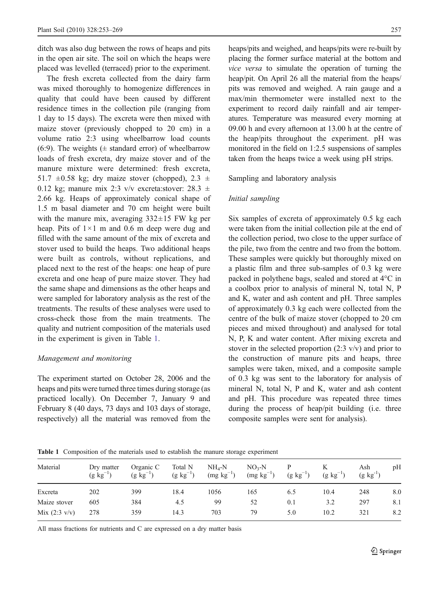<span id="page-4-0"></span>ditch was also dug between the rows of heaps and pits in the open air site. The soil on which the heaps were placed was levelled (terraced) prior to the experiment.

The fresh excreta collected from the dairy farm was mixed thoroughly to homogenize differences in quality that could have been caused by different residence times in the collection pile (ranging from 1 day to 15 days). The excreta were then mixed with maize stover (previously chopped to 20 cm) in a volume ratio 2:3 using wheelbarrow load counts (6:9). The weights ( $\pm$  standard error) of wheelbarrow loads of fresh excreta, dry maize stover and of the manure mixture were determined: fresh excreta, 51.7  $\pm$ 0.58 kg; dry maize stover (chopped), 2.3  $\pm$ 0.12 kg; manure mix 2:3 v/v excreta:stover: 28.3  $\pm$ 2.66 kg. Heaps of approximately conical shape of 1.5 m basal diameter and 70 cm height were built with the manure mix, averaging  $332\pm15$  FW kg per heap. Pits of  $1 \times 1$  m and 0.6 m deep were dug and filled with the same amount of the mix of excreta and stover used to build the heaps. Two additional heaps were built as controls, without replications, and placed next to the rest of the heaps: one heap of pure excreta and one heap of pure maize stover. They had the same shape and dimensions as the other heaps and were sampled for laboratory analysis as the rest of the treatments. The results of these analyses were used to cross-check those from the main treatments. The quality and nutrient composition of the materials used in the experiment is given in Table 1.

## Management and monitoring

The experiment started on October 28, 2006 and the heaps and pits were turned three times during storage (as practiced locally). On December 7, January 9 and February 8 (40 days, 73 days and 103 days of storage, respectively) all the material was removed from the heaps/pits and weighed, and heaps/pits were re-built by placing the former surface material at the bottom and vice versa to simulate the operation of turning the heap/pit. On April 26 all the material from the heaps/ pits was removed and weighed. A rain gauge and a max/min thermometer were installed next to the experiment to record daily rainfall and air temperatures. Temperature was measured every morning at 09.00 h and every afternoon at 13.00 h at the centre of the heap/pits throughout the experiment. pH was monitored in the field on 1:2.5 suspensions of samples taken from the heaps twice a week using pH strips.

Sampling and laboratory analysis

#### Initial sampling

Six samples of excreta of approximately 0.5 kg each were taken from the initial collection pile at the end of the collection period, two close to the upper surface of the pile, two from the centre and two from the bottom. These samples were quickly but thoroughly mixed on a plastic film and three sub-samples of 0.3 kg were packed in polythene bags, sealed and stored at 4°C in a coolbox prior to analysis of mineral N, total N, P and K, water and ash content and pH. Three samples of approximately 0.3 kg each were collected from the centre of the bulk of maize stover (chopped to 20 cm pieces and mixed throughout) and analysed for total N, P, K and water content. After mixing excreta and stover in the selected proportion  $(2.3 \text{ v/v})$  and prior to the construction of manure pits and heaps, three samples were taken, mixed, and a composite sample of 0.3 kg was sent to the laboratory for analysis of mineral N, total N, P and K, water and ash content and pH. This procedure was repeated three times during the process of heap/pit building (i.e. three composite samples were sent for analysis).

Table 1 Composition of the materials used to establish the manure storage experiment

| Material                | Dry matter<br>$(g \text{ kg}^{-1})$ | Organic C<br>$(g \text{ kg}^{-1})$ | Total N<br>$(g \text{ kg}^{-1})$ | $NH4-N$<br>$(mg kg^{-1})$ | $NO3-N$<br>$\text{(mg kg}^{-1})$ | $(g \text{ kg}^{-1})$ | $(g \text{ kg}^{-1})$ | Ash<br>$(g \; kg^{-1})$ | pH  |
|-------------------------|-------------------------------------|------------------------------------|----------------------------------|---------------------------|----------------------------------|-----------------------|-----------------------|-------------------------|-----|
| Excreta                 | 202                                 | 399                                | 18.4                             | 1056                      | 165                              | 6.5                   | 10.4                  | 248                     | 8.0 |
| Maize stover            | 605                                 | 384                                | 4.5                              | 99                        | 52                               | 0.1                   | 3.2                   | 297                     | 8.1 |
| Mix $(2:3 \text{ v/v})$ | 278                                 | 359                                | 14.3                             | 703                       | 79                               | 5.0                   | 10.2                  | 321                     | 8.2 |

All mass fractions for nutrients and C are expressed on a dry matter basis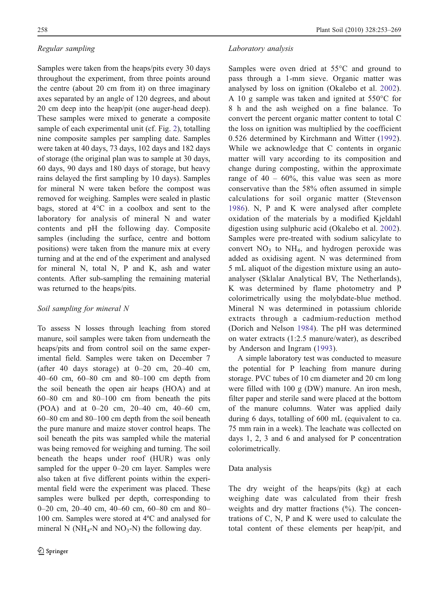# Regular sampling

Samples were taken from the heaps/pits every 30 days throughout the experiment, from three points around the centre (about 20 cm from it) on three imaginary axes separated by an angle of 120 degrees, and about 20 cm deep into the heap/pit (one auger-head deep). These samples were mixed to generate a composite sample of each experimental unit (cf. Fig. [2\)](#page-3-0), totalling nine composite samples per sampling date. Samples were taken at 40 days, 73 days, 102 days and 182 days of storage (the original plan was to sample at 30 days, 60 days, 90 days and 180 days of storage, but heavy rains delayed the first sampling by 10 days). Samples for mineral N were taken before the compost was removed for weighing. Samples were sealed in plastic bags, stored at 4°C in a coolbox and sent to the laboratory for analysis of mineral N and water contents and pH the following day. Composite samples (including the surface, centre and bottom positions) were taken from the manure mix at every turning and at the end of the experiment and analysed for mineral N, total N, P and K, ash and water contents. After sub-sampling the remaining material was returned to the heaps/pits.

# Soil sampling for mineral N

To assess N losses through leaching from stored manure, soil samples were taken from underneath the heaps/pits and from control soil on the same experimental field. Samples were taken on December 7 (after 40 days storage) at  $0-20$  cm,  $20-40$  cm, 40–60 cm, 60–80 cm and 80–100 cm depth from the soil beneath the open air heaps (HOA) and at 60–80 cm and 80–100 cm from beneath the pits (POA) and at 0–20 cm, 20–40 cm, 40–60 cm, 60–80 cm and 80–100 cm depth from the soil beneath the pure manure and maize stover control heaps. The soil beneath the pits was sampled while the material was being removed for weighing and turning. The soil beneath the heaps under roof (HUR) was only sampled for the upper 0–20 cm layer. Samples were also taken at five different points within the experimental field were the experiment was placed. These samples were bulked per depth, corresponding to 0–20 cm, 20–40 cm, 40–60 cm, 60–80 cm and 80– 100 cm. Samples were stored at 4ºC and analysed for mineral N ( $NH_4$ -N and  $NO_3$ -N) the following day.

#### Laboratory analysis

Samples were oven dried at 55°C and ground to pass through a 1-mm sieve. Organic matter was analysed by loss on ignition (Okalebo et al. [2002](#page-15-0)). A 10 g sample was taken and ignited at 550°C for 8 h and the ash weighed on a fine balance. To convert the percent organic matter content to total C the loss on ignition was multiplied by the coefficient 0.526 determined by Kirchmann and Witter [\(1992](#page-15-0)). While we acknowledge that C contents in organic matter will vary according to its composition and change during composting, within the approximate range of  $40 - 60\%$ , this value was seen as more conservative than the 58% often assumed in simple calculations for soil organic matter (Stevenson [1986](#page-16-0)). N, P and K were analysed after complete oxidation of the materials by a modified Kjeldahl digestion using sulphuric acid (Okalebo et al. [2002](#page-15-0)). Samples were pre-treated with sodium salicylate to convert  $NO<sub>3</sub>$  to  $NH<sub>4</sub>$ , and hydrogen peroxide was added as oxidising agent. N was determined from 5 mL aliquot of the digestion mixture using an autoanalyser (Sklalar Analytical BV, The Netherlands), K was determined by flame photometry and P colorimetrically using the molybdate-blue method. Mineral N was determined in potassium chloride extracts through a cadmium-reduction method (Dorich and Nelson [1984\)](#page-15-0). The pH was determined on water extracts (1:2.5 manure/water), as described by Anderson and Ingram ([1993\)](#page-15-0).

A simple laboratory test was conducted to measure the potential for P leaching from manure during storage. PVC tubes of 10 cm diameter and 20 cm long were filled with 100 g (DW) manure. An iron mesh, filter paper and sterile sand were placed at the bottom of the manure columns. Water was applied daily during 6 days, totalling of 600 mL (equivalent to ca. 75 mm rain in a week). The leachate was collected on days 1, 2, 3 and 6 and analysed for P concentration colorimetrically.

#### Data analysis

The dry weight of the heaps/pits (kg) at each weighing date was calculated from their fresh weights and dry matter fractions (%). The concentrations of C, N, P and K were used to calculate the total content of these elements per heap/pit, and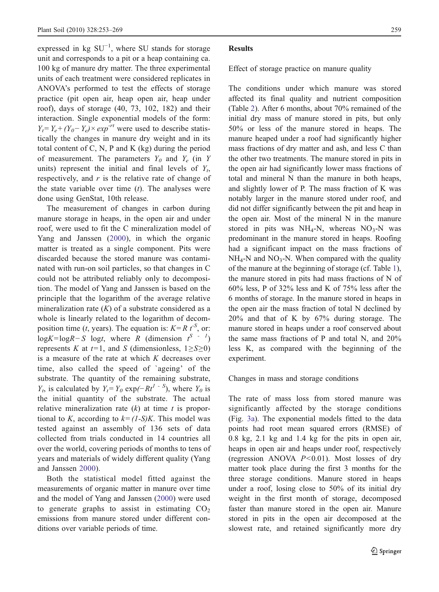expressed in  $kg SU^{-1}$ , where SU stands for storage unit and corresponds to a pit or a heap containing ca. 100 kg of manure dry matter. The three experimental units of each treatment were considered replicates in ANOVA's performed to test the effects of storage practice (pit open air, heap open air, heap under roof), days of storage (40, 73, 102, 182) and their interaction. Single exponential models of the form:  $Y_t = Y_e + (Y_0 - Y_e) \times exp^{-rt}$  were used to describe statistically the changes in manure dry weight and in its total content of C, N, P and K (kg) during the period of measurement. The parameters  $Y_0$  and  $Y_e$  (in Y units) represent the initial and final levels of  $Y_t$ , respectively, and  $r$  is the relative rate of change of the state variable over time  $(t)$ . The analyses were done using GenStat, 10th release.

The measurement of changes in carbon during manure storage in heaps, in the open air and under roof, were used to fit the C mineralization model of Yang and Janssen ([2000](#page-16-0)), in which the organic matter is treated as a single component. Pits were discarded because the stored manure was contaminated with run-on soil particles, so that changes in C could not be attributed reliably only to decomposition. The model of Yang and Janssen is based on the principle that the logarithm of the average relative mineralization rate  $(K)$  of a substrate considered as a whole is linearly related to the logarithm of decomposition time (*t*, years). The equation is:  $K=R t<sup>-S</sup>$ , or: logK=logR-S logt, where R (dimension  $t^{S-1}$ ) represents K at  $t=1$ , and S (dimensionless,  $1 \geq S \geq 0$ ) is a measure of the rate at which  $K$  decreases over time, also called the speed of `ageing' of the substrate. The quantity of the remaining substrate,  $Y_t$ , is calculated by  $Y_t=Y_0 \exp(-Rt^{1-S})$ , where  $Y_0$  is the initial quantity of the substrate. The actual relative mineralization rate  $(k)$  at time t is proportional to K, according to  $k = (1-S)K$ . This model was tested against an assembly of 136 sets of data collected from trials conducted in 14 countries all over the world, covering periods of months to tens of years and materials of widely different quality (Yang and Janssen [2000](#page-16-0)).

Both the statistical model fitted against the measurements of organic matter in manure over time and the model of Yang and Janssen ([2000\)](#page-16-0) were used to generate graphs to assist in estimating  $CO<sub>2</sub>$ emissions from manure stored under different conditions over variable periods of time.

#### Results

#### Effect of storage practice on manure quality

The conditions under which manure was stored affected its final quality and nutrient composition (Table [2\)](#page-7-0). After 6 months, about 70% remained of the initial dry mass of manure stored in pits, but only 50% or less of the manure stored in heaps. The manure heaped under a roof had significantly higher mass fractions of dry matter and ash, and less C than the other two treatments. The manure stored in pits in the open air had significantly lower mass fractions of total and mineral N than the manure in both heaps, and slightly lower of P. The mass fraction of K was notably larger in the manure stored under roof, and did not differ significantly between the pit and heap in the open air. Most of the mineral N in the manure stored in pits was  $NH_4-N$ , whereas  $NO_3-N$  was predominant in the manure stored in heaps. Roofing had a significant impact on the mass fractions of  $NH_4$ -N and  $NO_3$ -N. When compared with the quality of the manure at the beginning of storage (cf. Table [1\)](#page-4-0), the manure stored in pits had mass fractions of N of 60% less, P of 32% less and K of 75% less after the 6 months of storage. In the manure stored in heaps in the open air the mass fraction of total N declined by 20% and that of K by 67% during storage. The manure stored in heaps under a roof conserved about the same mass fractions of P and total N, and 20% less K, as compared with the beginning of the experiment.

#### Changes in mass and storage conditions

The rate of mass loss from stored manure was significantly affected by the storage conditions (Fig. [3a](#page-7-0)). The exponential models fitted to the data points had root mean squared errors (RMSE) of 0.8 kg, 2.1 kg and 1.4 kg for the pits in open air, heaps in open air and heaps under roof, respectively (regression ANOVA  $P<0.01$ ). Most losses of dry matter took place during the first 3 months for the three storage conditions. Manure stored in heaps under a roof, losing close to 50% of its initial dry weight in the first month of storage, decomposed faster than manure stored in the open air. Manure stored in pits in the open air decomposed at the slowest rate, and retained significantly more dry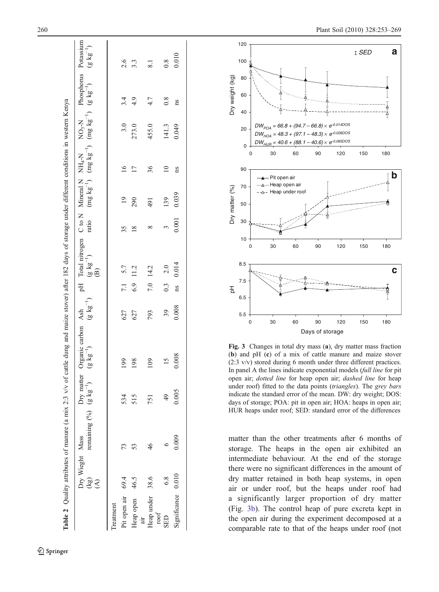<span id="page-7-0"></span>

|                    |                                                     |                                                           |                | Table 2 Quality attributes of manure (a mix 2:3 v/v of cattle dung and maize stover) after 182 days of storage under different conditions in western Kenya |                |                  |                                                                                                                                                                                                                                                      |               |                 |               |       |     |                  |
|--------------------|-----------------------------------------------------|-----------------------------------------------------------|----------------|------------------------------------------------------------------------------------------------------------------------------------------------------------|----------------|------------------|------------------------------------------------------------------------------------------------------------------------------------------------------------------------------------------------------------------------------------------------------|---------------|-----------------|---------------|-------|-----|------------------|
|                    | Dry Wieght Mass<br>$\left( \mathsf{kg}\right)$<br>€ | remaining (%) (g kg <sup>-1</sup> ) (g kg <sup>-1</sup> ) |                | Dry matter Organic carbon Ash                                                                                                                              | $(g\,kg^{-1})$ |                  | pH Total nitrogen C to N Mineral N NH <sub>4</sub> -N NO <sub>3</sub> -N Phosphorus Potassium<br>(g kg <sup>-1</sup> ) ratio (mg kg <sup>-1</sup> ) (mg kg <sup>-1</sup> ) (mg kg <sup>-1</sup> ) (g kg <sup>-1</sup> ) (g kg <sup>-1</sup> )<br>(B) |               |                 |               |       |     |                  |
| Treatment          |                                                     |                                                           |                |                                                                                                                                                            |                |                  |                                                                                                                                                                                                                                                      |               |                 |               |       |     |                  |
| Pit open air       | 69.4                                                |                                                           | 34             | 199                                                                                                                                                        | 627            |                  | 7.1 $5.7$                                                                                                                                                                                                                                            | 35            | $\overline{19}$ | $\frac{6}{2}$ | 3.0   | 3.4 | 2.6              |
| Heap open<br>äÏ    | 46.5                                                |                                                           | 15             | 198                                                                                                                                                        | 627            | 6.9              | 11.2                                                                                                                                                                                                                                                 | $\frac{8}{2}$ | 290             | 17            | 273.0 | 4.9 | 3.3              |
| Heap under<br>roof | 38.6                                                |                                                           | 51<br>r        | 109                                                                                                                                                        | 793            | $7.0$ 14.2       |                                                                                                                                                                                                                                                      | ∞             | 491             | 36            | 455.0 | 4.7 | $\overline{8.1}$ |
| <b>GED</b>         | 6.8                                                 |                                                           | $\frac{49}{5}$ | 15                                                                                                                                                         | 39             | $0.\overline{3}$ | 2.0                                                                                                                                                                                                                                                  |               | 139             | $\approx$     | 141.3 | 0.8 | 0.8              |
| Significance 0.010 |                                                     | 0.009                                                     | 0.005          | 0.008                                                                                                                                                      | 0.008          | $_{\rm ns}$      | 0.014                                                                                                                                                                                                                                                | 0.001         | 0.039           | ns            | 0.049 | ns  | 0.010            |
|                    |                                                     |                                                           |                |                                                                                                                                                            |                |                  |                                                                                                                                                                                                                                                      |               |                 |               |       |     |                  |



Fig. 3 Changes in total dry mass ( a), dry matter mass fraction ( b) and pH ( c) of a mix of cattle manure and maize stover (2:3 v/v) stored during 6 month under three different practices. In panel A the lines indicate exponential models (full line for pit open air; dotted line for heap open air; dashed line for heap under roof) fitted to the data points (triangles). The grey bars indicate the standard error of the mean. DW: dry weight; DOS: days of storage; POA: pit in open air; HOA: heaps in open air; HUR heaps under roof; SED: standard error of the differences

matter than the other treatments after 6 months of storage. The heaps in the open air exhibited an intermediate behaviour. At the end of the storage there were no significant differences in the amount of dry matter retained in both heap systems, in open air or under roof, but the heaps under roof had a significantly larger proportion of dry matter (Fig. 3b). The control heap of pure excreta kept in the open air during the experiment decomposed at a comparable rate to that of the heaps under roof (not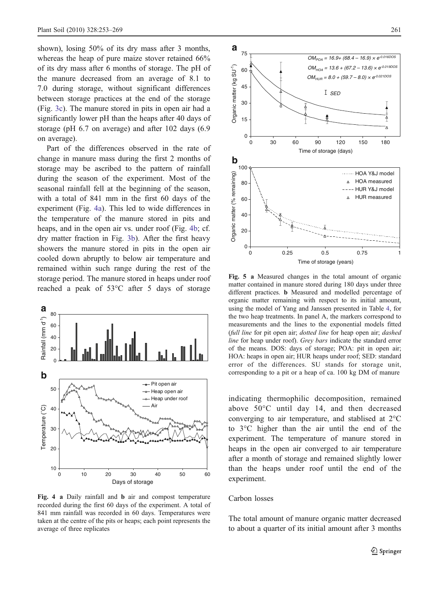<span id="page-8-0"></span>shown), losing 50% of its dry mass after 3 months, whereas the heap of pure maize stover retained 66% of its dry mass after 6 months of storage. The pH of the manure decreased from an average of 8.1 to 7.0 during storage, without significant differences between storage practices at the end of the storage (Fig. [3c](#page-7-0)). The manure stored in pits in open air had a significantly lower pH than the heaps after 40 days of storage (pH 6.7 on average) and after 102 days (6.9 on average).

Part of the differences observed in the rate of change in manure mass during the first 2 months of storage may be ascribed to the pattern of rainfall during the season of the experiment. Most of the seasonal rainfall fell at the beginning of the season, with a total of 841 mm in the first 60 days of the experiment (Fig. 4a). This led to wide differences in the temperature of the manure stored in pits and heaps, and in the open air vs. under roof (Fig. 4b; cf. dry matter fraction in Fig. [3b\)](#page-7-0). After the first heavy showers the manure stored in pits in the open air cooled down abruptly to below air temperature and remained within such range during the rest of the storage period. The manure stored in heaps under roof reached a peak of 53°C after 5 days of storage



Fig. 4 a Daily rainfall and b air and compost temperature recorded during the first 60 days of the experiment. A total of 841 mm rainfall was recorded in 60 days. Temperatures were taken at the centre of the pits or heaps; each point represents the average of three replicates



Fig. 5 a Measured changes in the total amount of organic matter contained in manure stored during 180 days under three different practices. b Measured and modelled percentage of organic matter remaining with respect to its initial amount, using the model of Yang and Janssen presented in Table [4,](#page-9-0) for the two heap treatments. In panel A, the markers correspond to measurements and the lines to the exponential models fitted (full line for pit open air; dotted line for heap open air; dashed line for heap under roof). Grey bars indicate the standard error of the means. DOS: days of storage; POA: pit in open air; HOA: heaps in open air; HUR heaps under roof; SED: standard error of the differences. SU stands for storage unit, corresponding to a pit or a heap of ca. 100 kg DM of manure

indicating thermophilic decomposition, remained above 50°C until day 14, and then decreased converging to air temperature, and stablised at 2°C to 3°C higher than the air until the end of the experiment. The temperature of manure stored in heaps in the open air converged to air temperature after a month of storage and remained slightly lower than the heaps under roof until the end of the experiment.

## Carbon losses

The total amount of manure organic matter decreased to about a quarter of its initial amount after 3 months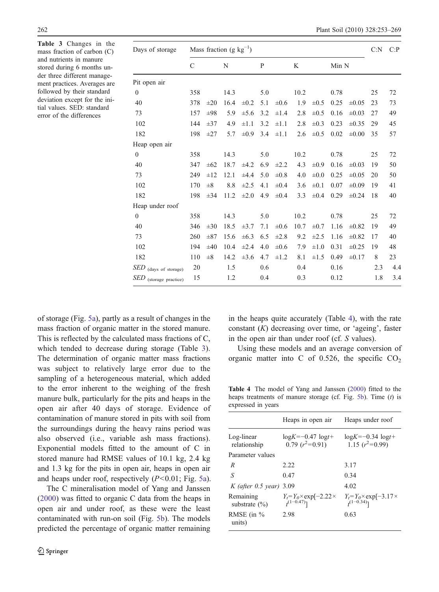<span id="page-9-0"></span>Table 3 Changes in the mass fraction of carbon (C) and nutrients in manure stored during 6 months under three different management practices. Averages are followed by their standard deviation except for the initial values. SED: standard error of the differences

| Days of storage        |              |          | Mass fraction (g $kg^{-1}$ ) |           |     |           |      |           |       |            | C: N | C: P |
|------------------------|--------------|----------|------------------------------|-----------|-----|-----------|------|-----------|-------|------------|------|------|
|                        | $\mathsf{C}$ |          | N                            |           | P   |           | K    |           | Min N |            |      |      |
| Pit open air           |              |          |                              |           |     |           |      |           |       |            |      |      |
| $\theta$               | 358          |          | 14.3                         |           | 5.0 |           | 10.2 |           | 0.78  |            | 25   | 72   |
| 40                     | 378          | $\pm 20$ | 16.4                         | $\pm 0.2$ | 5.1 | $\pm 0.6$ | 1.9  | $\pm 0.5$ | 0.25  | $\pm 0.05$ | 23   | 73   |
| 73                     | 157          | ±98      | 5.9                          | $\pm$ 5.6 | 3.2 | $\pm 1.4$ | 2.8  | $\pm 0.5$ | 0.16  | $\pm 0.03$ | 27   | 49   |
| 102                    | 144          | $\pm 37$ | 4.9                          | $\pm 1.1$ | 3.2 | $\pm 1.1$ | 2.8  | $\pm 0.3$ | 0.23  | $\pm 0.35$ | 29   | 45   |
| 182                    | 198          | $\pm 27$ | 5.7                          | $\pm 0.9$ | 3.4 | $\pm 1.1$ | 2.6  | $\pm 0.5$ | 0.02  | $\pm 0.00$ | 35   | 57   |
| Heap open air          |              |          |                              |           |     |           |      |           |       |            |      |      |
| $\mathbf{0}$           | 358          |          | 14.3                         |           | 5.0 |           | 10.2 |           | 0.78  |            | 25   | 72   |
| 40                     | 347          | $\pm 62$ | 18.7                         | ±4.2      | 6.9 | $\pm 2.2$ | 4.3  | $\pm 0.9$ | 0.16  | $\pm 0.03$ | 19   | 50   |
| 73                     | 249          | $\pm 12$ | 12.1                         | ±4.4      | 5.0 | $\pm 0.8$ | 4.0  | $\pm 0.0$ | 0.25  | $\pm 0.05$ | 20   | 50   |
| 102                    | 170          | $\pm 8$  | 8.8                          | $\pm 2.5$ | 4.1 | $\pm 0.4$ | 3.6  | $\pm 0.1$ | 0.07  | $\pm 0.09$ | 19   | 41   |
| 182                    | 198          | $\pm 34$ | 11.2                         | $\pm 2.0$ | 4.9 | $\pm 0.4$ | 3.3  | $\pm 0.4$ | 0.29  | $\pm 0.24$ | 18   | 40   |
| Heap under roof        |              |          |                              |           |     |           |      |           |       |            |      |      |
| $\mathbf{0}$           | 358          |          | 14.3                         |           | 5.0 |           | 10.2 |           | 0.78  |            | 25   | 72   |
| 40                     | 346          | $\pm 30$ | 18.5                         | $\pm 3.7$ | 7.1 | $\pm 0.6$ | 10.7 | $\pm 0.7$ | 1.16  | $\pm 0.82$ | 19   | 49   |
| 73                     | 260          | $\pm 87$ | 15.6                         | $\pm 6.3$ | 6.5 | $\pm 2.8$ | 9.2  | $\pm 2.5$ | 1.16  | $\pm 0.82$ | 17   | 40   |
| 102                    | 194          | ±40      | 10.4                         | $\pm 2.4$ | 4.0 | $\pm 0.6$ | 7.9  | $\pm 1.0$ | 0.31  | $\pm 0.25$ | 19   | 48   |
| 182                    | 110          | $\pm 8$  | 14.2                         | $\pm 3.6$ | 4.7 | $\pm 1.2$ | 8.1  | $\pm 1.5$ | 0.49  | $\pm 0.17$ | 8    | 23   |
| SED (days of storage)  | 20           |          | 1.5                          |           | 0.6 |           | 0.4  |           | 0.16  |            | 2.3  | 4.4  |
| SED (storage practice) | 15           |          | 1.2                          |           | 0.4 |           | 0.3  |           | 0.12  |            | 1.8  | 3.4  |

of storage (Fig. [5a](#page-8-0)), partly as a result of changes in the mass fraction of organic matter in the stored manure. This is reflected by the calculated mass fractions of C, which tended to decrease during storage (Table 3). The determination of organic matter mass fractions was subject to relatively large error due to the sampling of a heterogeneous material, which added to the error inherent to the weighing of the fresh manure bulk, particularly for the pits and heaps in the open air after 40 days of storage. Evidence of contamination of manure stored in pits with soil from the surroundings during the heavy rains period was also observed (i.e., variable ash mass fractions). Exponential models fitted to the amount of C in stored manure had RMSE values of 10.1 kg, 2.4 kg and 1.3 kg for the pits in open air, heaps in open air and heaps under roof, respectively  $(P<0.01$ ; Fig. [5a\)](#page-8-0).

The C mineralisation model of Yang and Janssen ([2000\)](#page-16-0) was fitted to organic C data from the heaps in open air and under roof, as these were the least contaminated with run-on soil (Fig. [5b](#page-8-0)). The models predicted the percentage of organic matter remaining in the heaps quite accurately (Table 4), with the rate constant  $(K)$  decreasing over time, or 'ageing', faster in the open air than under roof (cf. S values).

Using these models and an average conversion of organic matter into C of 0.526, the specific  $CO<sub>2</sub>$ 

Table 4 The model of Yang and Janssen [\(2000](#page-16-0)) fitted to the heaps treatments of manure storage (cf. Fig. [5b\)](#page-8-0). Time  $(t)$  is expressed in years

|                                | Heaps in open air                                        | Heaps under roof                                       |
|--------------------------------|----------------------------------------------------------|--------------------------------------------------------|
| Log-linear<br>relationship     | $logK = -0.47 log t +$<br>0.79 $(r^2=0.91)$              | $logK = -0.34 logt +$<br>1.15 $(r^2=0.99)$             |
| Parameter values               |                                                          |                                                        |
| R                              | 2.22                                                     | 3.17                                                   |
| S                              | 0.47                                                     | 0.34                                                   |
| K (after $0.5$ year) 3.09      |                                                          | 4.02                                                   |
| Remaining<br>substrate $(\% )$ | $Y_t = Y_0 \times \exp[-2.22 \times$<br>$t^{(1-0.47)}$ ] | $Y_t = Y_0 \times \exp[-3.17 \times$<br>$t^{(1-0.34)}$ |
| RMSE (in $%$<br>units)         | 2.98                                                     | 0.63                                                   |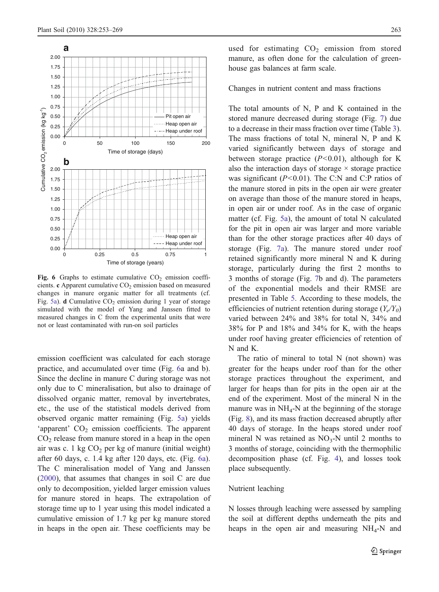

Fig. 6 Graphs to estimate cumulative  $CO<sub>2</sub>$  emission coefficients.  $c$  Apparent cumulative  $CO<sub>2</sub>$  emission based on measured changes in manure organic matter for all treatments (cf. Fig. [5a\)](#page-8-0). d Cumulative  $CO<sub>2</sub>$  emission during 1 year of storage simulated with the model of Yang and Janssen fitted to measured changes in C from the experimental units that were not or least contaminated with run-on soil particles

emission coefficient was calculated for each storage practice, and accumulated over time (Fig. 6a and b). Since the decline in manure C during storage was not only due to C mineralisation, but also to drainage of dissolved organic matter, removal by invertebrates, etc., the use of the statistical models derived from observed organic matter remaining (Fig. [5a](#page-8-0)) yields 'apparent'  $CO<sub>2</sub>$  emission coefficients. The apparent  $CO<sub>2</sub>$  release from manure stored in a heap in the open air was c. 1 kg  $CO<sub>2</sub>$  per kg of manure (initial weight) after 60 days, c. 1.4 kg after 120 days, etc. (Fig. 6a). The C mineralisation model of Yang and Janssen ([2000\)](#page-16-0), that assumes that changes in soil C are due only to decomposition, yielded larger emission values for manure stored in heaps. The extrapolation of storage time up to 1 year using this model indicated a cumulative emission of 1.7 kg per kg manure stored in heaps in the open air. These coefficients may be used for estimating  $CO<sub>2</sub>$  emission from stored manure, as often done for the calculation of greenhouse gas balances at farm scale.

Changes in nutrient content and mass fractions

The total amounts of N, P and K contained in the stored manure decreased during storage (Fig. [7\)](#page-11-0) due to a decrease in their mass fraction over time (Table [3\)](#page-9-0). The mass fractions of total N, mineral N, P and K varied significantly between days of storage and between storage practice  $(P<0.01)$ , although for K also the interaction days of storage  $\times$  storage practice was significant  $(P<0.01)$ . The C:N and C:P ratios of the manure stored in pits in the open air were greater on average than those of the manure stored in heaps, in open air or under roof. As in the case of organic matter (cf. Fig. [5a\)](#page-8-0), the amount of total N calculated for the pit in open air was larger and more variable than for the other storage practices after 40 days of storage (Fig. [7a\)](#page-11-0). The manure stored under roof retained significantly more mineral N and K during storage, particularly during the first 2 months to 3 months of storage (Fig. [7](#page-11-0)b and d). The parameters of the exponential models and their RMSE are presented in Table [5.](#page-12-0) According to these models, the efficiencies of nutrient retention during storage  $(Y_e/Y_0)$ varied between 24% and 38% for total N, 34% and 38% for P and 18% and 34% for K, with the heaps under roof having greater efficiencies of retention of N and K.

The ratio of mineral to total N (not shown) was greater for the heaps under roof than for the other storage practices throughout the experiment, and larger for heaps than for pits in the open air at the end of the experiment. Most of the mineral N in the manure was in  $NH<sub>4</sub>-N$  at the beginning of the storage (Fig. [8\)](#page-12-0), and its mass fraction decreased abruptly after 40 days of storage. In the heaps stored under roof mineral N was retained as  $NO<sub>3</sub>-N$  until 2 months to 3 months of storage, coinciding with the thermophilic decomposition phase (cf. Fig. [4](#page-8-0)), and losses took place subsequently.

#### Nutrient leaching

N losses through leaching were assessed by sampling the soil at different depths underneath the pits and heaps in the open air and measuring  $NH_4-N$  and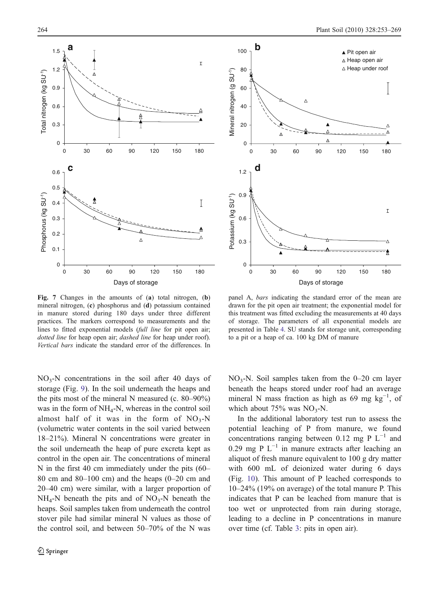<span id="page-11-0"></span>

Fig. 7 Changes in the amounts of (a) total nitrogen, (b) mineral nitrogen, (c) phosphorus and (d) potassium contained in manure stored during 180 days under three different practices. The markers correspond to measurements and the lines to fitted exponential models (full line for pit open air; dotted line for heap open air; dashed line for heap under roof). Vertical bars indicate the standard error of the differences. In

 $NO<sub>3</sub>-N$  concentrations in the soil after 40 days of storage (Fig. [9\)](#page-13-0). In the soil underneath the heaps and the pits most of the mineral N measured (c. 80–90%) was in the form of  $NH_4$ -N, whereas in the control soil almost half of it was in the form of  $NO<sub>3</sub>-N$ (volumetric water contents in the soil varied between 18–21%). Mineral N concentrations were greater in the soil underneath the heap of pure excreta kept as control in the open air. The concentrations of mineral N in the first 40 cm immediately under the pits (60– 80 cm and 80–100 cm) and the heaps (0–20 cm and 20–40 cm) were similar, with a larger proportion of  $NH_4$ -N beneath the pits and of  $NO_3$ -N beneath the heaps. Soil samples taken from underneath the control stover pile had similar mineral N values as those of the control soil, and between 50–70% of the N was



panel A, bars indicating the standard error of the mean are drawn for the pit open air treatment; the exponential model for this treatment was fitted excluding the measurements at 40 days of storage. The parameters of all exponential models are presented in Table [4.](#page-9-0) SU stands for storage unit, corresponding to a pit or a heap of ca. 100 kg DM of manure

 $NO<sub>3</sub>-N$ . Soil samples taken from the 0–20 cm layer beneath the heaps stored under roof had an average mineral N mass fraction as high as 69 mg  $kg^{-1}$ , of which about  $75\%$  was NO<sub>3</sub>-N.

In the additional laboratory test run to assess the potential leaching of P from manure, we found concentrations ranging between 0.12 mg P  $L^{-1}$  and 0.29 mg P  $L^{-1}$  in manure extracts after leaching an aliquot of fresh manure equivalent to 100 g dry matter with 600 mL of deionized water during 6 days (Fig. [10](#page-13-0)). This amount of P leached corresponds to 10–24% (19% on average) of the total manure P. This indicates that P can be leached from manure that is too wet or unprotected from rain during storage, leading to a decline in P concentrations in manure over time (cf. Table [3](#page-9-0): pits in open air).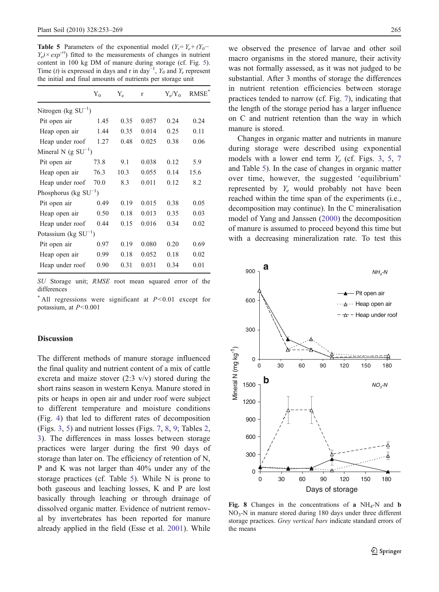<span id="page-12-0"></span>Table 5 Parameters of the exponential model ( $Y_t = Y_e + (Y_0 Y_e \times exp^{-rt}$  fitted to the measurements of changes in nutrient content in 100 kg DM of manure during storage (cf. Fig. [5](#page-8-0)). Time (*t*) is expressed in days and r in day<sup>-1</sup>,  $Y_0$  and  $Y_e$  represent the initial and final amounts of nutrients per storage unit

|                            | $Y_0$ | $Y_e$ | r     | $Y_e/Y_0$ | $RMSE^*$ |
|----------------------------|-------|-------|-------|-----------|----------|
| Nitrogen (kg $SU^{-1}$ )   |       |       |       |           |          |
| Pit open air               | 1.45  | 0.35  | 0.057 | 0.24      | 0.24     |
| Heap open air              | 1.44  | 0.35  | 0.014 | 0.25      | 0.11     |
| Heap under roof            | 1.27  | 0.48  | 0.025 | 0.38      | 0.06     |
| Mineral N (g $SU^{-1}$ )   |       |       |       |           |          |
| Pit open air               | 73.8  | 9.1   | 0.038 | 0.12      | 5.9      |
| Heap open air              | 76.3  | 10.3  | 0.055 | 0.14      | 15.6     |
| Heap under roof            | 70.0  | 8.3   | 0.011 | 0.12      | 8.2      |
| Phosphorus (kg $SU^{-1}$ ) |       |       |       |           |          |
| Pit open air               | 0.49  | 0.19  | 0.015 | 0.38      | 0.05     |
| Heap open air              | 0.50  | 0.18  | 0.013 | 0.35      | 0.03     |
| Heap under roof            | 0.44  | 0.15  | 0.016 | 0.34      | 0.02     |
| Potassium (kg $SU^{-1}$ )  |       |       |       |           |          |
| Pit open air               | 0.97  | 0.19  | 0.080 | 0.20      | 0.69     |
| Heap open air              | 0.99  | 0.18  | 0.052 | 0.18      | 0.02     |
| Heap under roof            | 0.90  | 0.31  | 0.031 | 0.34      | 0.01     |
|                            |       |       |       |           |          |

SU Storage unit; RMSE root mean squared error of the differences

 $*$  All regressions were significant at  $P < 0.01$  except for potassium, at  $P < 0.001$ 

#### **Discussion**

The different methods of manure storage influenced the final quality and nutrient content of a mix of cattle excreta and maize stover  $(2:3 \text{ v/v})$  stored during the short rains season in western Kenya. Manure stored in pits or heaps in open air and under roof were subject to different temperature and moisture conditions (Fig. [4](#page-8-0)) that led to different rates of decomposition (Figs. [3](#page-7-0), [5](#page-8-0)) and nutrient losses (Figs. [7,](#page-11-0) 8, [9;](#page-13-0) Tables [2,](#page-7-0) [3\)](#page-9-0). The differences in mass losses between storage practices were larger during the first 90 days of storage than later on. The efficiency of retention of N, P and K was not larger than 40% under any of the storage practices (cf. Table 5). While N is prone to both gaseous and leaching losses, K and P are lost basically through leaching or through drainage of dissolved organic matter. Evidence of nutrient removal by invertebrates has been reported for manure already applied in the field (Esse et al. [2001\)](#page-15-0). While we observed the presence of larvae and other soil macro organisms in the stored manure, their activity was not formally assessed, as it was not judged to be substantial. After 3 months of storage the differences in nutrient retention efficiencies between storage practices tended to narrow (cf. Fig. [7](#page-11-0)), indicating that the length of the storage period has a larger influence on C and nutrient retention than the way in which manure is stored.

Changes in organic matter and nutrients in manure during storage were described using exponential models with a lower end term  $Y_e$  (cf. Figs. [3](#page-7-0), [5](#page-8-0), [7](#page-11-0) and Table 5). In the case of changes in organic matter over time, however, the suggested 'equilibrium' represented by  $Y_e$  would probably not have been reached within the time span of the experiments (i.e., decomposition may continue). In the C mineralisation model of Yang and Janssen ([2000\)](#page-16-0) the decomposition of manure is assumed to proceed beyond this time but with a decreasing mineralization rate. To test this



Fig. 8 Changes in the concentrations of a  $NH_4$ -N and b  $NO<sub>3</sub>-N$  in manure stored during 180 days under three different storage practices. Grey vertical bars indicate standard errors of the means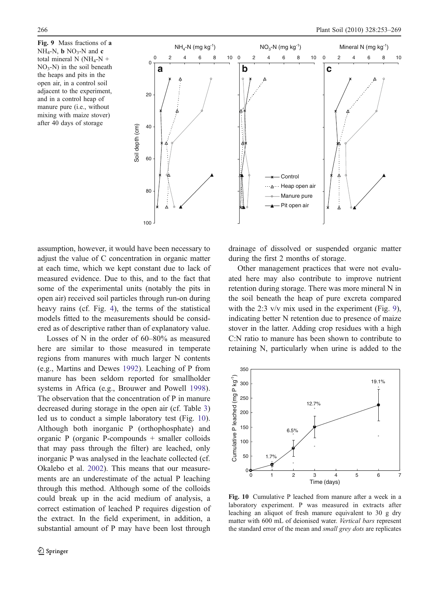<span id="page-13-0"></span>Fig. 9 Mass fractions of a  $NH_4-N$ , **b**  $NO_3-N$  and **c** total mineral N ( $NH_4-N$  +  $NO_3-N$ ) in the soil beneath the heaps and pits in the open air, in a control soil adjacent to the experiment, and in a control heap of manure pure (i.e., without mixing with maize stover) after 40 days of storage



assumption, however, it would have been necessary to adjust the value of C concentration in organic matter at each time, which we kept constant due to lack of measured evidence. Due to this, and to the fact that some of the experimental units (notably the pits in open air) received soil particles through run-on during heavy rains (cf. Fig. [4](#page-8-0)), the terms of the statistical models fitted to the measurements should be considered as of descriptive rather than of explanatory value.

Losses of N in the order of 60–80% as measured here are similar to those measured in temperate regions from manures with much larger N contents (e.g., Martins and Dewes [1992\)](#page-15-0). Leaching of P from manure has been seldom reported for smallholder systems in Africa (e.g., Brouwer and Powell [1998](#page-15-0)). The observation that the concentration of P in manure decreased during storage in the open air (cf. Table [3\)](#page-9-0) led us to conduct a simple laboratory test (Fig. 10). Although both inorganic P (orthophosphate) and organic P (organic P-compounds + smaller colloids that may pass through the filter) are leached, only inorganic P was analysed in the leachate collected (cf. Okalebo et al. [2002](#page-15-0)). This means that our measurements are an underestimate of the actual P leaching through this method. Although some of the colloids could break up in the acid medium of analysis, a correct estimation of leached P requires digestion of the extract. In the field experiment, in addition, a substantial amount of P may have been lost through

drainage of dissolved or suspended organic matter during the first 2 months of storage.

Other management practices that were not evaluated here may also contribute to improve nutrient retention during storage. There was more mineral N in the soil beneath the heap of pure excreta compared with the 2:3  $v/v$  mix used in the experiment (Fig. 9), indicating better N retention due to presence of maize stover in the latter. Adding crop residues with a high C:N ratio to manure has been shown to contribute to retaining N, particularly when urine is added to the



Fig. 10 Cumulative P leached from manure after a week in a laboratory experiment. P was measured in extracts after leaching an aliquot of fresh manure equivalent to 30 g dry matter with 600 mL of deionised water. Vertical bars represent the standard error of the mean and small grey dots are replicates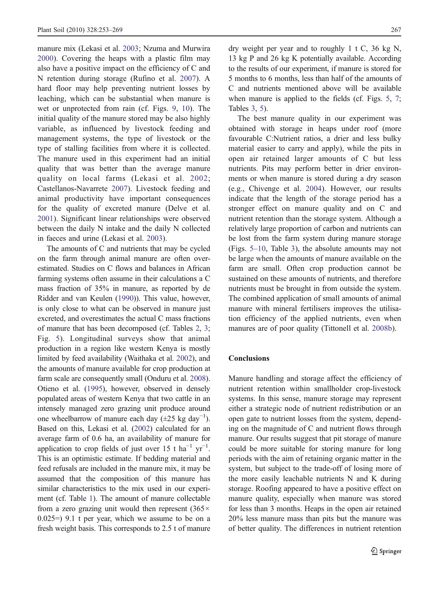manure mix (Lekasi et al. [2003;](#page-15-0) Nzuma and Murwira [2000\)](#page-15-0). Covering the heaps with a plastic film may also have a positive impact on the efficiency of C and N retention during storage (Rufino et al. [2007\)](#page-16-0). A hard floor may help preventing nutrient losses by leaching, which can be substantial when manure is wet or unprotected from rain (cf. Figs. [9,](#page-13-0) [10\)](#page-13-0). The initial quality of the manure stored may be also highly variable, as influenced by livestock feeding and management systems, the type of livestock or the type of stalling facilities from where it is collected. The manure used in this experiment had an initial quality that was better than the average manure quality on local farms (Lekasi et al. [2002](#page-15-0); Castellanos-Navarrete [2007](#page-15-0)). Livestock feeding and animal productivity have important consequences for the quality of excreted manure (Delve et al. [2001\)](#page-15-0). Significant linear relationships were observed between the daily N intake and the daily N collected in faeces and urine (Lekasi et al. [2003\)](#page-15-0).

The amounts of C and nutrients that may be cycled on the farm through animal manure are often overestimated. Studies on C flows and balances in African farming systems often assume in their calculations a C mass fraction of 35% in manure, as reported by de Ridder and van Keulen [\(1990\)](#page-15-0)). This value, however, is only close to what can be observed in manure just excreted, and overestimates the actual C mass fractions of manure that has been decomposed (cf. Tables [2,](#page-7-0) [3](#page-9-0); Fig. [5\)](#page-8-0). Longitudinal surveys show that animal production in a region like western Kenya is mostly limited by feed availability (Waithaka et al. [2002\)](#page-16-0), and the amounts of manure available for crop production at farm scale are consequently small (Onduru et al. [2008\)](#page-15-0). Otieno et al. [\(1995\)](#page-15-0), however, observed in densely populated areas of western Kenya that two cattle in an intensely managed zero grazing unit produce around one wheelbarrow of manure each day  $(\pm 25 \text{ kg day}^{-1})$ . Based on this, Lekasi et al. [\(2002\)](#page-15-0) calculated for an average farm of 0.6 ha, an availability of manure for application to crop fields of just over 15 t  $ha^{-1}$  yr<sup>-1</sup>. This is an optimistic estimate. If bedding material and feed refusals are included in the manure mix, it may be assumed that the composition of this manure has similar characteristics to the mix used in our experiment (cf. Table [1\)](#page-4-0). The amount of manure collectable from a zero grazing unit would then represent  $(365 \times$ 0.025=) 9.1 t per year, which we assume to be on a fresh weight basis. This corresponds to 2.5 t of manure dry weight per year and to roughly 1 t C, 36 kg N, 13 kg P and 26 kg K potentially available. According to the results of our experiment, if manure is stored for 5 months to 6 months, less than half of the amounts of C and nutrients mentioned above will be available when manure is applied to the fields (cf. Figs. [5](#page-8-0), [7;](#page-11-0) Tables [3](#page-9-0), [5\)](#page-12-0).

The best manure quality in our experiment was obtained with storage in heaps under roof (more favourable C:Nutrient ratios, a drier and less bulky material easier to carry and apply), while the pits in open air retained larger amounts of C but less nutrients. Pits may perform better in drier environments or when manure is stored during a dry season (e.g., Chivenge et al. [2004](#page-15-0)). However, our results indicate that the length of the storage period has a stronger effect on manure quality and on C and nutrient retention than the storage system. Although a relatively large proportion of carbon and nutrients can be lost from the farm system during manure storage (Figs. [5](#page-8-0)–[10](#page-13-0), Table [3\)](#page-9-0), the absolute amounts may not be large when the amounts of manure available on the farm are small. Often crop production cannot be sustained on these amounts of nutrients, and therefore nutrients must be brought in from outside the system. The combined application of small amounts of animal manure with mineral fertilisers improves the utilisation efficiency of the applied nutrients, even when manures are of poor quality (Tittonell et al. [2008b\)](#page-16-0).

#### Conclusions

Manure handling and storage affect the efficiency of nutrient retention within smallholder crop-livestock systems. In this sense, manure storage may represent either a strategic node of nutrient redistribution or an open gate to nutrient losses from the system, depending on the magnitude of C and nutrient flows through manure. Our results suggest that pit storage of manure could be more suitable for storing manure for long periods with the aim of retaining organic matter in the system, but subject to the trade-off of losing more of the more easily leachable nutrients N and K during storage. Roofing appeared to have a positive effect on manure quality, especially when manure was stored for less than 3 months. Heaps in the open air retained 20% less manure mass than pits but the manure was of better quality. The differences in nutrient retention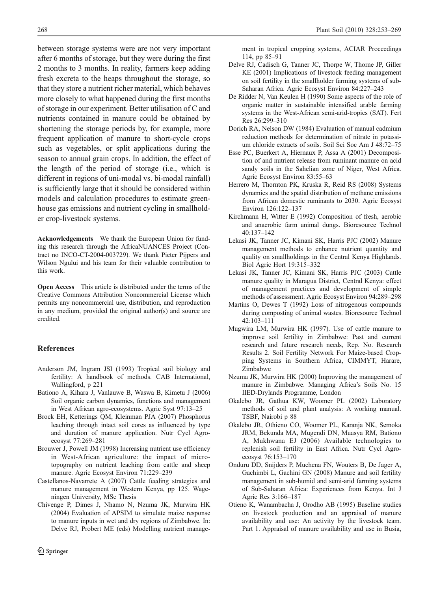<span id="page-15-0"></span>between storage systems were are not very important after 6 months of storage, but they were during the first 2 months to 3 months. In reality, farmers keep adding fresh excreta to the heaps throughout the storage, so that they store a nutrient richer material, which behaves more closely to what happened during the first months of storage in our experiment. Better utilisation of C and nutrients contained in manure could be obtained by shortening the storage periods by, for example, more frequent application of manure to short-cycle crops such as vegetables, or split applications during the season to annual grain crops. In addition, the effect of the length of the period of storage (i.e., which is different in regions of uni-modal vs. bi-modal rainfall) is sufficiently large that it should be considered within models and calculation procedures to estimate greenhouse gas emissions and nutrient cycling in smallholder crop-livestock systems.

Acknowledgements We thank the European Union for funding this research through the AfricaNUANCES Project (Contract no INCO-CT-2004-003729). We thank Pieter Pijpers and Wilson Ngului and his team for their valuable contribution to this work.

Open Access This article is distributed under the terms of the Creative Commons Attribution Noncommercial License which permits any noncommercial use, distribution, and reproduction in any medium, provided the original author(s) and source are credited.

#### References

- Anderson JM, Ingram JSI (1993) Tropical soil biology and fertility: A handbook of methods. CAB International, Wallingford, p 221
- Bationo A, Kihara J, Vanlauwe B, Waswa B, Kimetu J (2006) Soil organic carbon dynamics, functions and management in West African agro-ecosystems. Agric Syst 97:13–25
- Brock EH, Ketterings QM, Kleinman PJA (2007) Phosphorus leaching through intact soil cores as influenced by type and duration of manure application. Nutr Cycl Agroecosyst 77:269–281
- Brouwer J, Powell JM (1998) Increasing nutrient use efficiency in West-African agriculture: the impact of microtopography on nutrient leaching from cattle and sheep manure. Agric Ecosyst Environ 71:229–239
- Castellanos-Navarrete A (2007) Cattle feeding strategies and manure management in Western Kenya, pp 125. Wageningen University, MSc Thesis
- Chivenge P, Dimes J, Nhamo N, Nzuma JK, Murwira HK (2004) Evaluation of APSIM to simulate maize response to manure inputs in wet and dry regions of Zimbabwe. In: Delve RJ, Probert ME (eds) Modelling nutrient manage-

ment in tropical cropping systems, ACIAR Proceedings 114, pp 85–91

- Delve RJ, Cadisch G, Tanner JC, Thorpe W, Thorne JP, Giller KE (2001) Implications of livestock feeding management on soil fertility in the smallholder farming systems of sub-Saharan Africa. Agric Ecosyst Environ 84:227–243
- De Ridder N, Van Keulen H (1990) Some aspects of the role of organic matter in sustainable intensified arable farming systems in the West-African semi-arid-tropics (SAT). Fert Res 26:299–310
- Dorich RA, Nelson DW (1984) Evaluation of manual cadmium reduction methods for determination of nitrate in potassium chloride extracts of soils. Soil Sci Soc Am J 48:72–75
- Esse PC, Buerkert A, Hiernaux P, Assa A (2001) Decomposition of and nutrient release from ruminant manure on acid sandy soils in the Sahelian zone of Niger, West Africa. Agric Ecosyst Environ 83:55–63
- Herrero M, Thornton PK, Kruska R, Reid RS (2008) Systems dynamics and the spatial distribution of methane emissions from African domestic ruminants to 2030. Agric Ecosyst Environ 126:122–137
- Kirchmann H, Witter E (1992) Composition of fresh, aerobic and anaerobic farm animal dungs. Bioresource Technol 40:137–142
- Lekasi JK, Tanner JC, Kimani SK, Harris PJC (2002) Manure management methods to enhance nutrient quantity and quality on smallholdings in the Central Kenya Highlands. Biol Agric Hort 19:315–332
- Lekasi JK, Tanner JC, Kimani SK, Harris PJC (2003) Cattle manure quality in Maragua District, Central Kenya: effect of management practices and development of simple methods of assessment. Agric Ecosyst Environ 94:289–298
- Martins O, Dewes T (1992) Loss of nitrogenous compounds during composting of animal wastes. Bioresource Technol 42:103–111
- Mugwira LM, Murwira HK (1997). Use of cattle manure to improve soil fertility in Zimbabwe: Past and current research and future research needs, Rep. No. Research Results 2. Soil Fertility Network For Maize-based Cropping Systems in Southern Africa, CIMMYT, Harare, Zimbabwe
- Nzuma JK, Murwira HK (2000) Improving the management of manure in Zimbabwe. Managing Africa's Soils No. 15 IIED-Drylands Programme, London
- Okalebo JR, Gathua KW, Woomer PL (2002) Laboratory methods of soil and plant analysis: A working manual. TSBF, Nairobi p 88
- Okalebo JR, Othieno CO, Woomer PL, Karanja NK, Semoka JRM, Bekunda MA, Mugendi DN, Muasya RM, Bationo A, Mukhwana EJ (2006) Available technologies to replenish soil fertility in East Africa. Nutr Cycl Agroecosyst 76:153–170
- Onduru DD, Snijders P, Muchena FN, Wouters B, De Jager A, Gachimbi L, Gachini GN (2008) Manure and soil fertility management in sub-humid and semi-arid farming systems of Sub-Saharan Africa: Experiences from Kenya. Int J Agric Res 3:166–187
- Otieno K, Wanambacha J, Orodho AB (1995) Baseline studies on livestock production and an appraisal of manure availability and use: An activity by the livestock team. Part 1. Appraisal of manure availability and use in Busia,